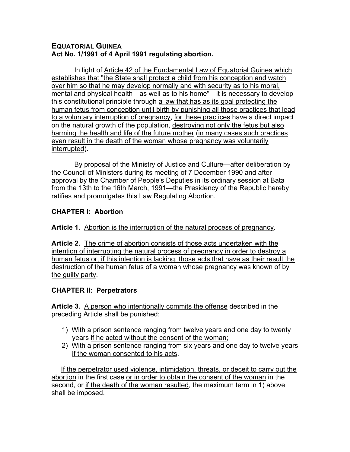## **EQUATORIAL GUINEA Act No. 1/1991 of 4 April 1991 regulating abortion.**

 In light of Article 42 of the Fundamental Law of Equatorial Guinea which establishes that "the State shall protect a child from his conception and watch over him so that he may develop normally and with security as to his moral, mental and physical health—as well as to his home"—it is necessary to develop this constitutional principle through a law that has as its goal protecting the human fetus from conception until birth by punishing all those practices that lead to a voluntary interruption of pregnancy, for these practices have a direct impact on the natural growth of the population, destroying not only the fetus but also harming the health and life of the future mother (in many cases such practices even result in the death of the woman whose pregnancy was voluntarily interrupted).

 By proposal of the Ministry of Justice and Culture—after deliberation by the Council of Ministers during its meeting of 7 December 1990 and after approval by the Chamber of People's Deputies in its ordinary session at Bata from the 13th to the 16th March, 1991—the Presidency of the Republic hereby ratifies and promulgates this Law Regulating Abortion.

# **CHAPTER I: Abortion**

#### **Article 1**. Abortion is the interruption of the natural process of pregnancy.

**Article 2.** The crime of abortion consists of those acts undertaken with the intention of interrupting the natural process of pregnancy in order to destroy a human fetus or, if this intention is lacking, those acts that have as their result the destruction of the human fetus of a woman whose pregnancy was known of by the guilty party.

#### **CHAPTER II: Perpetrators**

**Article 3.** A person who intentionally commits the offense described in the preceding Article shall be punished:

- 1) With a prison sentence ranging from twelve years and one day to twenty years if he acted without the consent of the woman;
- 2) With a prison sentence ranging from six years and one day to twelve years if the woman consented to his acts.

 If the perpetrator used violence, intimidation, threats, or deceit to carry out the abortion in the first case or in order to obtain the consent of the woman in the second, or if the death of the woman resulted, the maximum term in 1) above shall be imposed.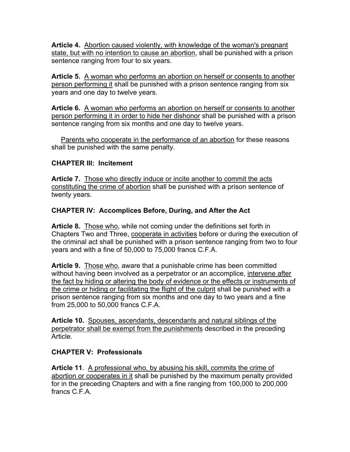**Article 4.** Abortion caused violently, with knowledge of the woman's pregnant state, but with no intention to cause an abortion, shall be punished with a prison sentence ranging from four to six years.

**Article 5.** A woman who performs an abortion on herself or consents to another person performing it shall be punished with a prison sentence ranging from six years and one day to twelve years.

**Article 6.** A woman who performs an abortion on herself or consents to another person performing it in order to hide her dishonor shall be punished with a prison sentence ranging from six months and one day to twelve years.

 Parents who cooperate in the performance of an abortion for these reasons shall be punished with the same penalty.

## **CHAPTER III: Incitement**

**Article 7.** Those who directly induce or incite another to commit the acts constituting the crime of abortion shall be punished with a prison sentence of twenty years.

## **CHAPTER IV: Accomplices Before, During, and After the Act**

**Article 8.** Those who, while not coming under the definitions set forth in Chapters Two and Three, cooperate in activities before or during the execution of the criminal act shall be punished with a prison sentence ranging from two to four years and with a fine of 50,000 to 75,000 francs C.F.A.

**Article 9.** Those who, aware that a punishable crime has been committed without having been involved as a perpetrator or an accomplice, intervene after the fact by hiding or altering the body of evidence or the effects or instruments of the crime or hiding or facilitating the flight of the culprit shall be punished with a prison sentence ranging from six months and one day to two years and a fine from 25,000 to 50,000 francs C.F.A.

**Article 10.** Spouses, ascendants, descendants and natural siblings of the perpetrator shall be exempt from the punishments described in the preceding Article.

# **CHAPTER V: Professionals**

Article 11. A professional who, by abusing his skill, commits the crime of abortion or cooperates in it shall be punished by the maximum penalty provided for in the preceding Chapters and with a fine ranging from 100,000 to 200,000 francs C.F.A.